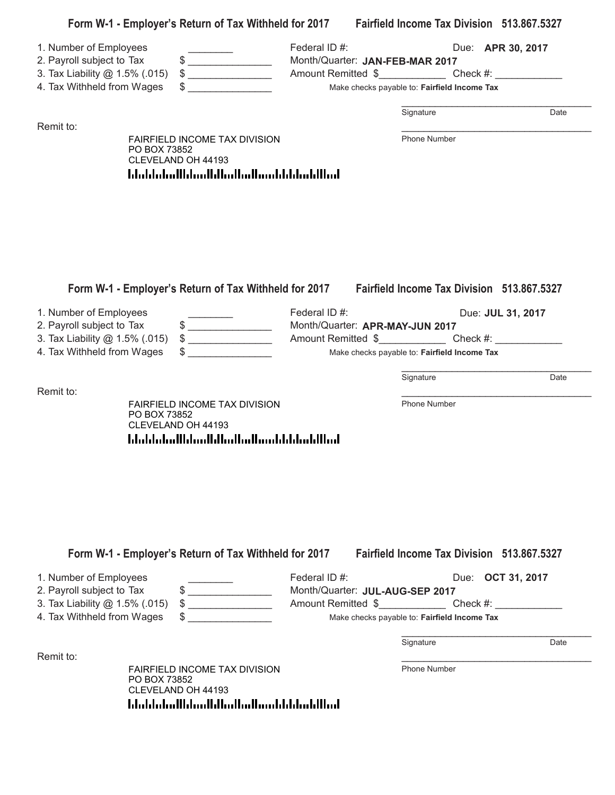| 2. Payroll subject to Tax<br>3. Tax Liability @ 1.5% (.015)                               | $\frac{1}{2}$<br>$\qquad \qquad \$$                                                                                                                                                                                                                                                                                                                 | Federal ID#:<br>Month/Quarter: JAN-FEB-MAR 2017<br>Amount Remitted \$       |                                                                                   | Due: <b>APR 30, 2017</b> |
|-------------------------------------------------------------------------------------------|-----------------------------------------------------------------------------------------------------------------------------------------------------------------------------------------------------------------------------------------------------------------------------------------------------------------------------------------------------|-----------------------------------------------------------------------------|-----------------------------------------------------------------------------------|--------------------------|
| 4. Tax Withheld from Wages                                                                |                                                                                                                                                                                                                                                                                                                                                     |                                                                             | Make checks payable to: Fairfield Income Tax                                      |                          |
|                                                                                           |                                                                                                                                                                                                                                                                                                                                                     |                                                                             | Signature                                                                         | Date                     |
| Remit to:<br>PO BOX 73852                                                                 | FAIRFIELD INCOME TAX DIVISION<br>CLEVELAND OH 44193                                                                                                                                                                                                                                                                                                 |                                                                             | Phone Number                                                                      |                          |
|                                                                                           | المطالبا بمليانا باستمالتها انتظارا استانت الململيات                                                                                                                                                                                                                                                                                                |                                                                             |                                                                                   |                          |
|                                                                                           |                                                                                                                                                                                                                                                                                                                                                     |                                                                             |                                                                                   |                          |
|                                                                                           |                                                                                                                                                                                                                                                                                                                                                     |                                                                             |                                                                                   |                          |
|                                                                                           |                                                                                                                                                                                                                                                                                                                                                     |                                                                             |                                                                                   |                          |
|                                                                                           | Form W-1 - Employer's Return of Tax Withheld for 2017 Fairfield Income Tax Division 513.867.5327                                                                                                                                                                                                                                                    |                                                                             |                                                                                   |                          |
| 1. Number of Employees                                                                    |                                                                                                                                                                                                                                                                                                                                                     | Federal ID#:                                                                |                                                                                   | Due: JUL 31, 2017        |
| 2. Payroll subject to Tax<br>3. Tax Liability @ 1.5% (.015)                               | $\begin{picture}(20,10) \put(0,0){\line(1,0){10}} \put(15,0){\line(1,0){10}} \put(15,0){\line(1,0){10}} \put(15,0){\line(1,0){10}} \put(15,0){\line(1,0){10}} \put(15,0){\line(1,0){10}} \put(15,0){\line(1,0){10}} \put(15,0){\line(1,0){10}} \put(15,0){\line(1,0){10}} \put(15,0){\line(1,0){10}} \put(15,0){\line(1,0){10}} \put(15,0){\line(1$ | Month/Quarter: APR-MAY-JUN 2017                                             |                                                                                   |                          |
| 4. Tax Withheld from Wages                                                                | $\frac{1}{2}$                                                                                                                                                                                                                                                                                                                                       | Amount Remitted \$ Check #:<br>Make checks payable to: Fairfield Income Tax |                                                                                   |                          |
|                                                                                           |                                                                                                                                                                                                                                                                                                                                                     |                                                                             | Signature                                                                         | Date                     |
| Remit to:                                                                                 | FAIRFIELD INCOME TAX DIVISION                                                                                                                                                                                                                                                                                                                       |                                                                             | Phone Number                                                                      |                          |
| PO BOX 73852                                                                              | CLEVELAND OH 44193                                                                                                                                                                                                                                                                                                                                  |                                                                             |                                                                                   |                          |
|                                                                                           | المطالبا بمليانا باستمالتها انتظارا استانت الململيات                                                                                                                                                                                                                                                                                                |                                                                             |                                                                                   |                          |
|                                                                                           |                                                                                                                                                                                                                                                                                                                                                     |                                                                             |                                                                                   |                          |
|                                                                                           |                                                                                                                                                                                                                                                                                                                                                     |                                                                             |                                                                                   |                          |
|                                                                                           |                                                                                                                                                                                                                                                                                                                                                     |                                                                             |                                                                                   |                          |
|                                                                                           |                                                                                                                                                                                                                                                                                                                                                     |                                                                             |                                                                                   |                          |
|                                                                                           | Form W-1 - Employer's Return of Tax Withheld for 2017                                                                                                                                                                                                                                                                                               |                                                                             | Fairfield Income Tax Division 513.867.5327                                        |                          |
| 1. Number of Employees                                                                    |                                                                                                                                                                                                                                                                                                                                                     | Federal ID#:                                                                |                                                                                   | Due: <b>OCT 31, 2017</b> |
|                                                                                           | $\qquad \qquad \bullet$<br>$\qquad \qquad \bullet$                                                                                                                                                                                                                                                                                                  | Month/Quarter: JUL-AUG-SEP 2017                                             | Amount Remitted \$_______________________Check #: _______________________________ |                          |
|                                                                                           |                                                                                                                                                                                                                                                                                                                                                     |                                                                             | Make checks payable to: Fairfield Income Tax                                      |                          |
| 2. Payroll subject to Tax<br>3. Tax Liability @ 1.5% (.015)<br>4. Tax Withheld from Wages |                                                                                                                                                                                                                                                                                                                                                     |                                                                             | Signature                                                                         | Date                     |
| Remit to:<br>PO BOX 73852                                                                 | <b>FAIRFIELD INCOME TAX DIVISION</b>                                                                                                                                                                                                                                                                                                                |                                                                             | <b>Phone Number</b>                                                               |                          |